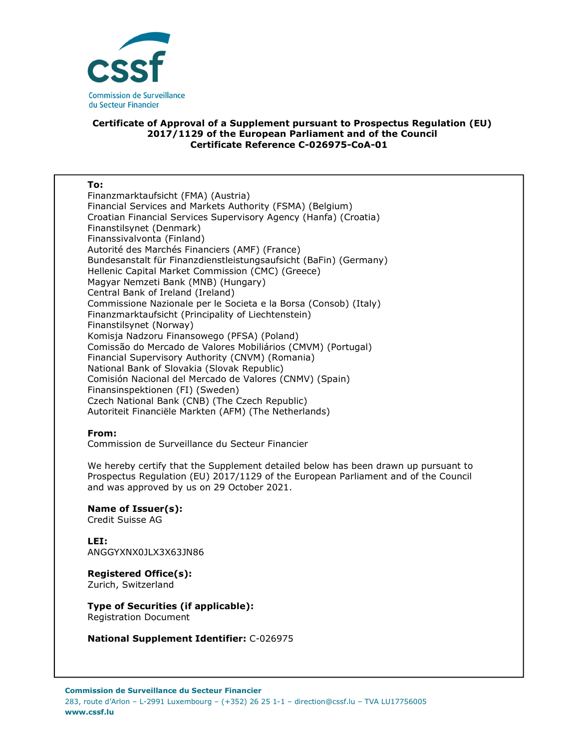

## **Certificate of Approval of a Supplement pursuant to Prospectus Regulation (EU) 2017/1129 of the European Parliament and of the Council Certificate Reference C-026975-CoA-01**

| To:                                                               |
|-------------------------------------------------------------------|
| Finanzmarktaufsicht (FMA) (Austria)                               |
| Financial Services and Markets Authority (FSMA) (Belgium)         |
| Croatian Financial Services Supervisory Agency (Hanfa) (Croatia)  |
| Finanstilsynet (Denmark)                                          |
| Finanssivalvonta (Finland)                                        |
| Autorité des Marchés Financiers (AMF) (France)                    |
| Bundesanstalt für Finanzdienstleistungsaufsicht (BaFin) (Germany) |
| Hellenic Capital Market Commission (CMC) (Greece)                 |
| Magyar Nemzeti Bank (MNB) (Hungary)                               |
| Central Bank of Ireland (Ireland)                                 |
| Commissione Nazionale per le Societa e la Borsa (Consob) (Italy)  |
| Finanzmarktaufsicht (Principality of Liechtenstein)               |
| Finanstilsynet (Norway)                                           |
| Komisja Nadzoru Finansowego (PFSA) (Poland)                       |
| Comissão do Mercado de Valores Mobiliários (CMVM) (Portugal)      |
| Financial Supervisory Authority (CNVM) (Romania)                  |
| National Bank of Slovakia (Slovak Republic)                       |
| Comisión Nacional del Mercado de Valores (CNMV) (Spain)           |
| Finansinspektionen (FI) (Sweden)                                  |
| Czech National Bank (CNB) (The Czech Republic)                    |
| Autoriteit Financiële Markten (AFM) (The Netherlands)             |

## **From:**

Commission de Surveillance du Secteur Financier

We hereby certify that the Supplement detailed below has been drawn up pursuant to Prospectus Regulation (EU) 2017/1129 of the European Parliament and of the Council and was approved by us on 29 October 2021.

**Name of Issuer(s):**  Credit Suisse AG

**LEI:** ANGGYXNX0JLX3X63JN86

**Registered Office(s):**  Zurich, Switzerland

**Type of Securities (if applicable):**  Registration Document

**National Supplement Identifier:** C-026975